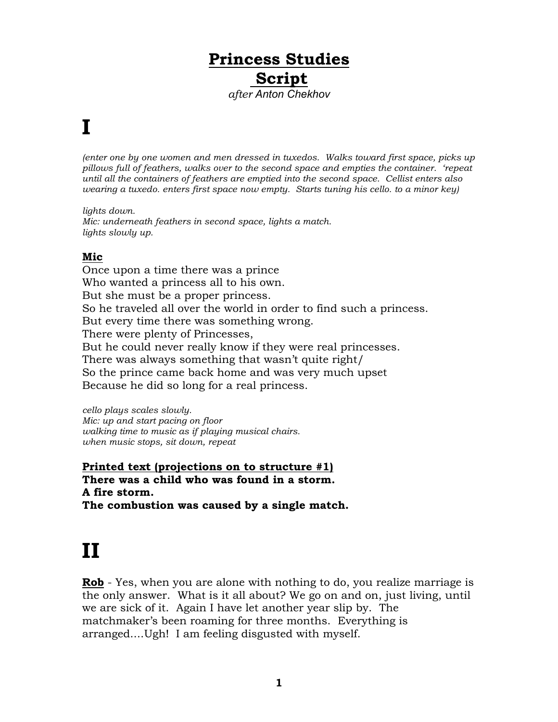#### **Princess Studies Script** *after Anton Chekhov*

#### **I**

*(enter one by one women and men dressed in tuxedos. Walks toward first space, picks up pillows full of feathers, walks over to the second space and empties the container. 'repeat until all the containers of feathers are emptied into the second space. Cellist enters also wearing a tuxedo. enters first space now empty. Starts tuning his cello. to a minor key)*

*lights down. Mic: underneath feathers in second space, lights a match. lights slowly up.*

#### **Mic**

Once upon a time there was a prince Who wanted a princess all to his own. But she must be a proper princess. So he traveled all over the world in order to find such a princess. But every time there was something wrong. There were plenty of Princesses, But he could never really know if they were real princesses. There was always something that wasn't quite right/ So the prince came back home and was very much upset Because he did so long for a real princess.

*cello plays scales slowly. Mic: up and start pacing on floor walking time to music as if playing musical chairs. when music stops, sit down, repeat* 

**Printed text (projections on to structure #1) There was a child who was found in a storm. A fire storm. The combustion was caused by a single match.**

### **II**

**Rob** - Yes, when you are alone with nothing to do, you realize marriage is the only answer. What is it all about? We go on and on, just living, until we are sick of it. Again I have let another year slip by. The matchmaker's been roaming for three months. Everything is arranged....Ugh! I am feeling disgusted with myself.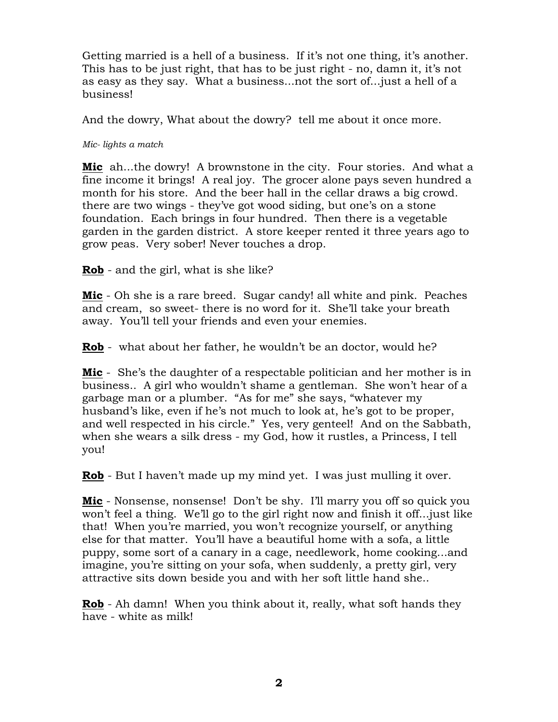Getting married is a hell of a business. If it's not one thing, it's another. This has to be just right, that has to be just right - no, damn it, it's not as easy as they say. What a business...not the sort of...just a hell of a business!

And the dowry, What about the dowry? tell me about it once more.

*Mic- lights a match*

**Mic** ah...the dowry! A brownstone in the city. Four stories. And what a fine income it brings! A real joy. The grocer alone pays seven hundred a month for his store. And the beer hall in the cellar draws a big crowd. there are two wings - they've got wood siding, but one's on a stone foundation. Each brings in four hundred. Then there is a vegetable garden in the garden district. A store keeper rented it three years ago to grow peas. Very sober! Never touches a drop.

**Rob** - and the girl, what is she like?

**Mic** - Oh she is a rare breed. Sugar candy! all white and pink. Peaches and cream, so sweet- there is no word for it. She'll take your breath away. You'll tell your friends and even your enemies.

**Rob** - what about her father, he wouldn't be an doctor, would he?

**Mic** - She's the daughter of a respectable politician and her mother is in business.. A girl who wouldn't shame a gentleman. She won't hear of a garbage man or a plumber. "As for me" she says, "whatever my husband's like, even if he's not much to look at, he's got to be proper, and well respected in his circle." Yes, very genteel! And on the Sabbath, when she wears a silk dress - my God, how it rustles, a Princess, I tell you!

**Rob** - But I haven't made up my mind yet. I was just mulling it over.

**Mic** - Nonsense, nonsense! Don't be shy. I'll marry you off so quick you won't feel a thing. We'll go to the girl right now and finish it off...just like that! When you're married, you won't recognize yourself, or anything else for that matter. You'll have a beautiful home with a sofa, a little puppy, some sort of a canary in a cage, needlework, home cooking...and imagine, you're sitting on your sofa, when suddenly, a pretty girl, very attractive sits down beside you and with her soft little hand she..

**Rob** - Ah damn! When you think about it, really, what soft hands they have - white as milk!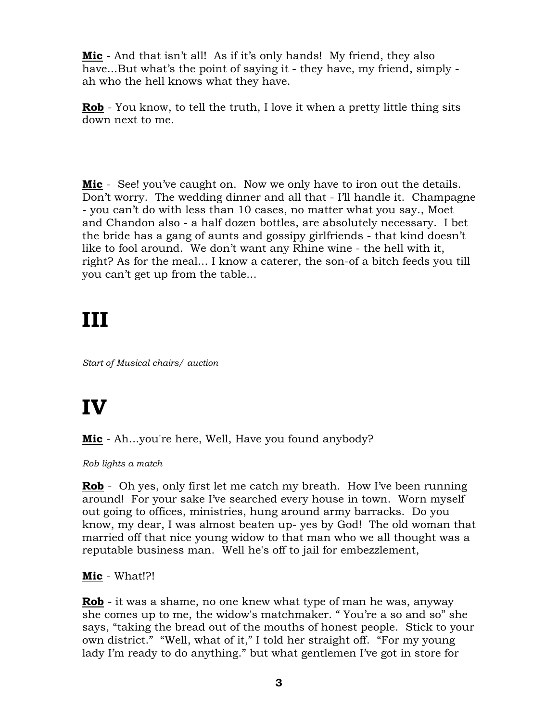**Mic** - And that isn't all! As if it's only hands! My friend, they also have...But what's the point of saying it - they have, my friend, simply ah who the hell knows what they have.

**Rob** - You know, to tell the truth, I love it when a pretty little thing sits down next to me.

**Mic** - See! you've caught on. Now we only have to iron out the details. Don't worry. The wedding dinner and all that - I'll handle it. Champagne - you can't do with less than 10 cases, no matter what you say., Moet and Chandon also - a half dozen bottles, are absolutely necessary. I bet the bride has a gang of aunts and gossipy girlfriends - that kind doesn't like to fool around. We don't want any Rhine wine - the hell with it, right? As for the meal... I know a caterer, the son-of a bitch feeds you till you can't get up from the table...

## **III**

*Start of Musical chairs/ auction*

# **IV**

**Mic** - Ah...you're here, Well, Have you found anybody?

*Rob lights a match*

**Rob** - Oh yes, only first let me catch my breath. How I've been running around! For your sake I've searched every house in town. Worn myself out going to offices, ministries, hung around army barracks. Do you know, my dear, I was almost beaten up- yes by God! The old woman that married off that nice young widow to that man who we all thought was a reputable business man. Well he's off to jail for embezzlement,

**Mic** - What!?!

**Rob** - it was a shame, no one knew what type of man he was, anyway she comes up to me, the widow's matchmaker. " You're a so and so" she says, "taking the bread out of the mouths of honest people. Stick to your own district." "Well, what of it," I told her straight off. "For my young lady I'm ready to do anything." but what gentlemen I've got in store for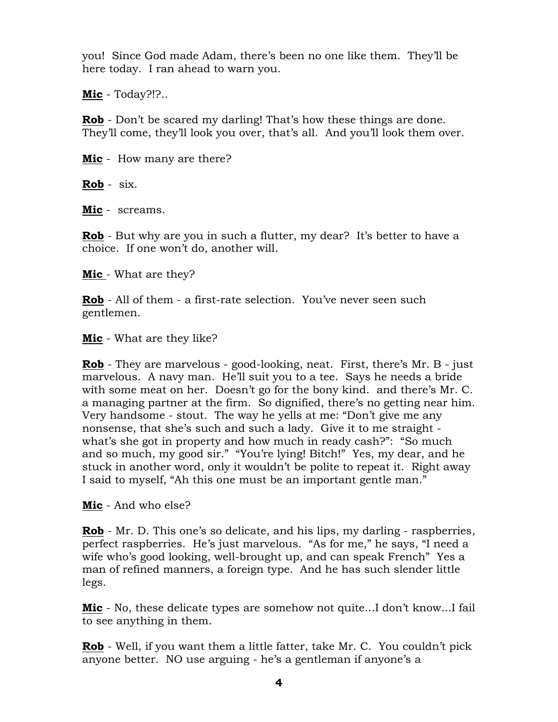you! Since God made Adam, there's been no one like them. They'll be here today. I ran ahead to warn you.

**Mic** - Today?!?..

**Rob** - Don't be scared my darling! That's how these things are done. They'll come, they'll look you over, that's all. And you'll look them over.

**Mic** - How many are there?

**Rob** - six.

**Mic** - screams.

**Rob** - But why are you in such a flutter, my dear? It's better to have a choice. If one won't do, another will.

**Mic** - What are they?

**Rob** - All of them - a first-rate selection. You've never seen such gentlemen.

**Mic** - What are they like?

**Rob** - They are marvelous - good-looking, neat. First, there's Mr. B - just marvelous. A navy man. He'll suit you to a tee. Says he needs a bride with some meat on her. Doesn't go for the bony kind. and there's Mr. C. a managing partner at the firm. So dignified, there's no getting near him. Very handsome - stout. The way he yells at me: "Don't give me any nonsense, that she's such and such a lady. Give it to me straight what's she got in property and how much in ready cash?": "So much and so much, my good sir." "You're lying! Bitch!" Yes, my dear, and he stuck in another word, only it wouldn't be polite to repeat it. Right away I said to myself, "Ah this one must be an important gentle man."

**Mic** - And who else?

**Rob** - Mr. D. This one's so delicate, and his lips, my darling - raspberries, perfect raspberries. He's just marvelous. "As for me," he says, "I need a wife who's good looking, well-brought up, and can speak French" Yes a man of refined manners, a foreign type. And he has such slender little legs.

**Mic** - No, these delicate types are somehow not quite...I don't know...I fail to see anything in them.

**Rob** - Well, if you want them a little fatter, take Mr. C. You couldn't pick anyone better. NO use arguing - he's a gentleman if anyone's a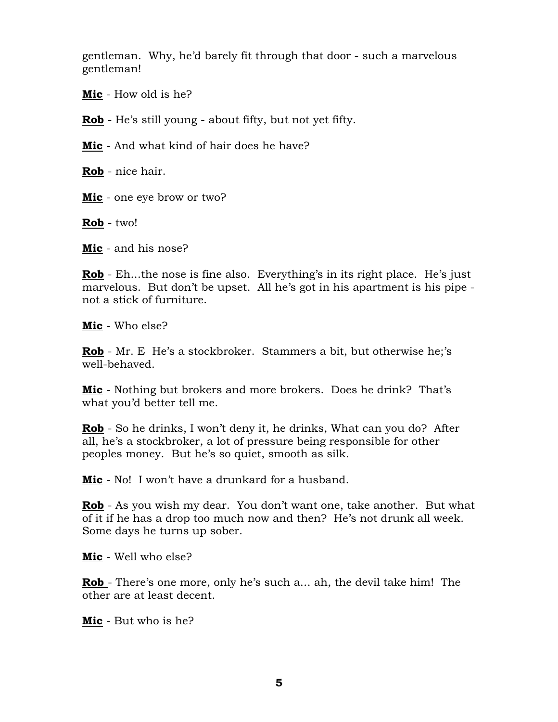gentleman. Why, he'd barely fit through that door - such a marvelous gentleman!

**Mic** - How old is he?

**Rob** - He's still young - about fifty, but not yet fifty.

**Mic** - And what kind of hair does he have?

**Rob** - nice hair.

**Mic** - one eye brow or two?

**Rob** - two!

**Mic** - and his nose?

**Rob** - Eh...the nose is fine also. Everything's in its right place. He's just marvelous. But don't be upset. All he's got in his apartment is his pipe not a stick of furniture.

**Mic** - Who else?

**Rob** - Mr. E He's a stockbroker. Stammers a bit, but otherwise he;'s well-behaved.

**Mic** - Nothing but brokers and more brokers. Does he drink? That's what you'd better tell me.

**Rob** - So he drinks, I won't deny it, he drinks, What can you do? After all, he's a stockbroker, a lot of pressure being responsible for other peoples money. But he's so quiet, smooth as silk.

**Mic** - No! I won't have a drunkard for a husband.

**Rob** - As you wish my dear. You don't want one, take another. But what of it if he has a drop too much now and then? He's not drunk all week. Some days he turns up sober.

**Mic** - Well who else?

**Rob** - There's one more, only he's such a... ah, the devil take him! The other are at least decent.

**Mic** - But who is he?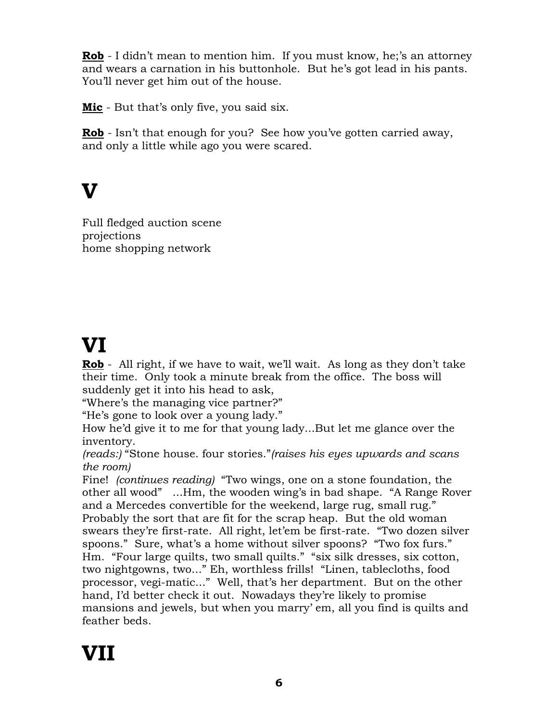**Rob** - I didn't mean to mention him. If you must know, he;'s an attorney and wears a carnation in his buttonhole. But he's got lead in his pants. You'll never get him out of the house.

**Mic** - But that's only five, you said six.

**Rob** - Isn't that enough for you? See how you've gotten carried away, and only a little while ago you were scared.

#### **V**

Full fledged auction scene projections home shopping network

### **VI**

**Rob** - All right, if we have to wait, we'll wait. As long as they don't take their time. Only took a minute break from the office. The boss will suddenly get it into his head to ask,

"Where's the managing vice partner?"

"He's gone to look over a young lady."

How he'd give it to me for that young lady...But let me glance over the inventory.

*(reads:)* "Stone house. four stories."*(raises his eyes upwards and scans the room)* 

Fine! *(continues reading)* "Two wings, one on a stone foundation, the other all wood" ...Hm, the wooden wing's in bad shape. "A Range Rover and a Mercedes convertible for the weekend, large rug, small rug." Probably the sort that are fit for the scrap heap. But the old woman swears they're first-rate. All right, let'em be first-rate. "Two dozen silver spoons." Sure, what's a home without silver spoons? "Two fox furs." Hm. "Four large quilts, two small quilts." "six silk dresses, six cotton, two nightgowns, two..." Eh, worthless frills! "Linen, tablecloths, food processor, vegi-matic..." Well, that's her department. But on the other hand, I'd better check it out. Nowadays they're likely to promise mansions and jewels, but when you marry' em, all you find is quilts and feather beds.

# **VII**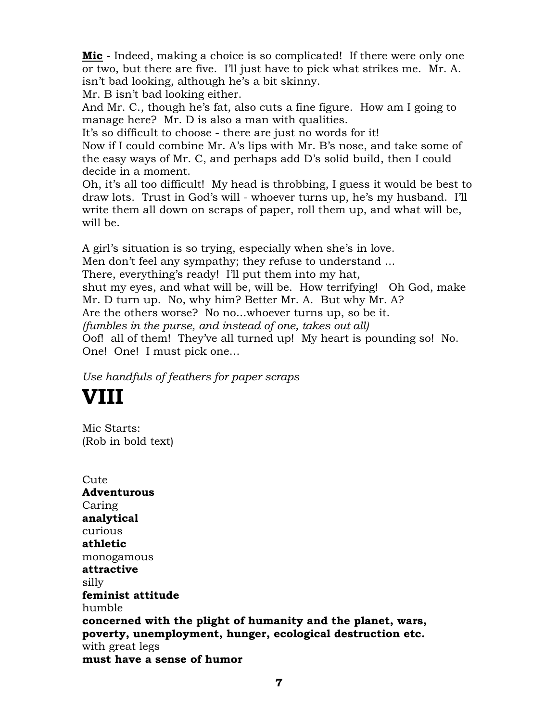**Mic** - Indeed, making a choice is so complicated! If there were only one or two, but there are five. I'll just have to pick what strikes me. Mr. A. isn't bad looking, although he's a bit skinny.

Mr. B isn't bad looking either.

And Mr. C., though he's fat, also cuts a fine figure. How am I going to manage here? Mr. D is also a man with qualities.

It's so difficult to choose - there are just no words for it!

Now if I could combine Mr. A's lips with Mr. B's nose, and take some of the easy ways of Mr. C, and perhaps add D's solid build, then I could decide in a moment.

Oh, it's all too difficult! My head is throbbing, I guess it would be best to draw lots. Trust in God's will - whoever turns up, he's my husband. I'll write them all down on scraps of paper, roll them up, and what will be, will be.

A girl's situation is so trying, especially when she's in love. Men don't feel any sympathy; they refuse to understand ... There, everything's ready! I'll put them into my hat, shut my eyes, and what will be, will be. How terrifying! Oh God, make Mr. D turn up. No, why him? Better Mr. A. But why Mr. A? Are the others worse? No no...whoever turns up, so be it. *(fumbles in the purse, and instead of one, takes out all)*  Oof! all of them! They've all turned up! My heart is pounding so! No. One! One! I must pick one...

*Use handfuls of feathers for paper scraps*

## **VIII**

Mic Starts: (Rob in bold text)

**Cute Adventurous** Caring **analytical** curious **athletic** monogamous **attractive** silly **feminist attitude** humble **concerned with the plight of humanity and the planet, wars, poverty, unemployment, hunger, ecological destruction etc.** with great legs **must have a sense of humor**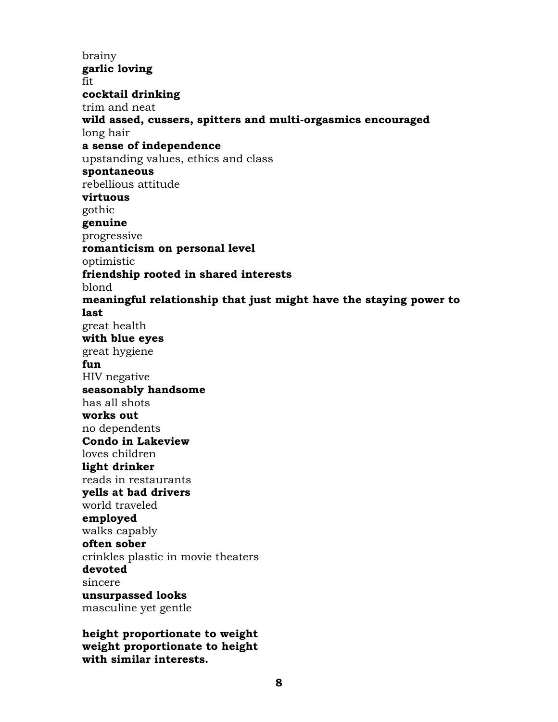brainy **garlic loving** fit **cocktail drinking** trim and neat **wild assed, cussers, spitters and multi-orgasmics encouraged** long hair **a sense of independence** upstanding values, ethics and class **spontaneous** rebellious attitude **virtuous** gothic **genuine** progressive **romanticism on personal level** optimistic **friendship rooted in shared interests** blond **meaningful relationship that just might have the staying power to last**  great health **with blue eyes** great hygiene **fun** HIV negative **seasonably handsome** has all shots **works out** no dependents **Condo in Lakeview** loves children **light drinker** reads in restaurants **yells at bad drivers** world traveled **employed** walks capably **often sober** crinkles plastic in movie theaters **devoted** sincere **unsurpassed looks** masculine yet gentle

**height proportionate to weight weight proportionate to height with similar interests.**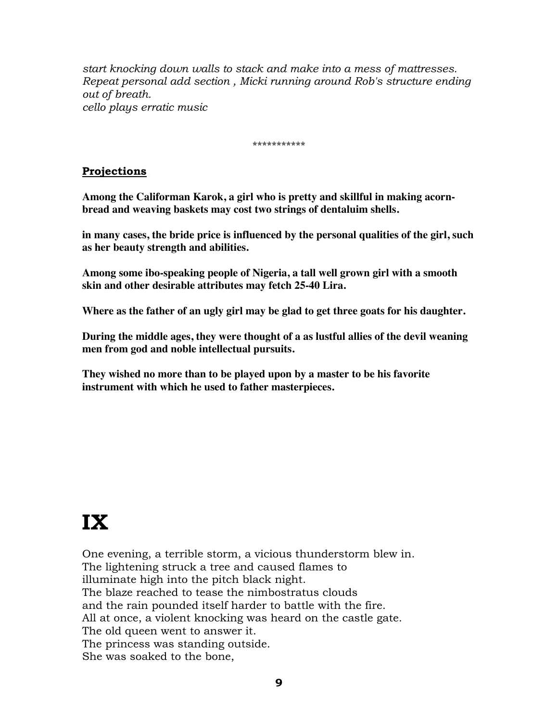*start knocking down walls to stack and make into a mess of mattresses. Repeat personal add section , Micki running around Rob's structure ending out of breath. cello plays erratic music*

\*\*\*\*\*\*\*\*\*\*\*

#### **Projections**

**Among the Califorman Karok, a girl who is pretty and skillful in making acornbread and weaving baskets may cost two strings of dentaluim shells.**

**in many cases, the bride price is influenced by the personal qualities of the girl, such as her beauty strength and abilities.**

**Among some ibo-speaking people of Nigeria, a tall well grown girl with a smooth skin and other desirable attributes may fetch 25-40 Lira.**

**Where as the father of an ugly girl may be glad to get three goats for his daughter.**

**During the middle ages, they were thought of a as lustful allies of the devil weaning men from god and noble intellectual pursuits.**

**They wished no more than to be played upon by a master to be his favorite instrument with which he used to father masterpieces.**

# **IX**

One evening, a terrible storm, a vicious thunderstorm blew in. The lightening struck a tree and caused flames to illuminate high into the pitch black night. The blaze reached to tease the nimbostratus clouds and the rain pounded itself harder to battle with the fire. All at once, a violent knocking was heard on the castle gate. The old queen went to answer it. The princess was standing outside. She was soaked to the bone,